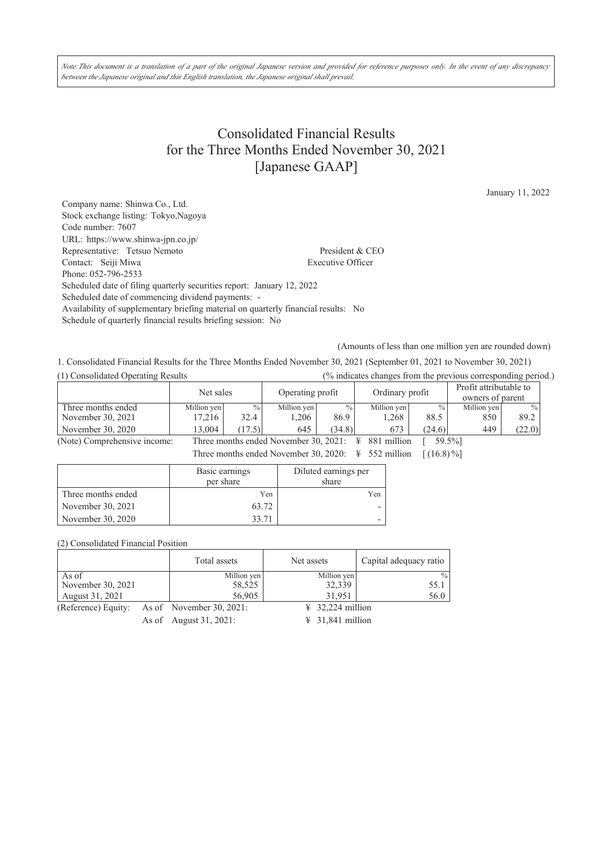Note:This document is a translation of a part of the original Japanese version and provided for reference purposes only. In the event of any discrepancy *between the Japanese original and this English translation, the Japanese original shall prevail.*

# Consolidated Financial Results for the Three Months Ended November 30, 2021 [Japanese GAAP]

January 11, 2022

Company name: Shinwa Co., Ltd. Stock exchange listing: Tokyo,Nagoya Code number: 7607 URL: https://www.shinwa-jpn.co.jp/ Representative: Tetsuo Nemoto President & CEO Contact: Seiji Miwa Executive Officer Phone: 052-796-2533 Scheduled date of filing quarterly securities report: January 12, 2022 Scheduled date of commencing dividend payments: - Availability of supplementary briefing material on quarterly financial results: No Schedule of quarterly financial results briefing session: No

(Amounts of less than one million yen are rounded down)

1. Consolidated Financial Results for the Three Months Ended November 30, 2021 (September 01, 2021 to November 30, 2021) (1) Consolidated Operating Results (% indicates changes from the previous corresponding period.)

|                              | Net sales   |               | Operating profit                      |               | Ordinary profit  |                 | Profit attributable to<br>owners of parent |        |
|------------------------------|-------------|---------------|---------------------------------------|---------------|------------------|-----------------|--------------------------------------------|--------|
| Three months ended           | Million yen | $\frac{0}{0}$ | Million yen                           | $\frac{0}{0}$ | Million yen      | $\frac{0}{0}$ 1 | Million yen                                | $\%$   |
| November 30, 2021            | 17.216      | 32.4          | .206                                  | 86.9          | 1.268            | 88.5            | 850                                        | 89.2   |
| November 30, 2020            | 13.004      | (17.5)        | 645                                   | (34.8)        | 673              | (24.6)          | 449                                        | (22.0) |
| (Note) Comprehensive income: |             |               | Three months ended November 30, 2021: |               | 881 million<br>¥ | 59.5%]          |                                            |        |

Three months ended November 30, 2020:  $\angle 552$  million  $[(16.8)\%]$ 

|                    | Basic earnings<br>per share | Diluted earnings per<br>share |
|--------------------|-----------------------------|-------------------------------|
| Three months ended | Yen                         | Yen                           |
| November 30, 2021  | 63.72                       |                               |
| November 30, 2020  | 33 71                       |                               |

(2) Consolidated Financial Position

|                                              | Total assets | Net assets                   | Capital adequacy ratio |
|----------------------------------------------|--------------|------------------------------|------------------------|
| As of                                        | Million yen  | Million yen                  | $\frac{0}{0}$          |
| November 30, 2021                            | 58,525       | 32,339                       | 55.1                   |
| August 31, 2021                              | 56,905       | 31.951                       | 56.0                   |
| (Reference) Equity: As of November 30, 2021: |              | $\frac{1}{2}$ 32.224 million |                        |

As of August 31, 2021: ¥ 31,841 million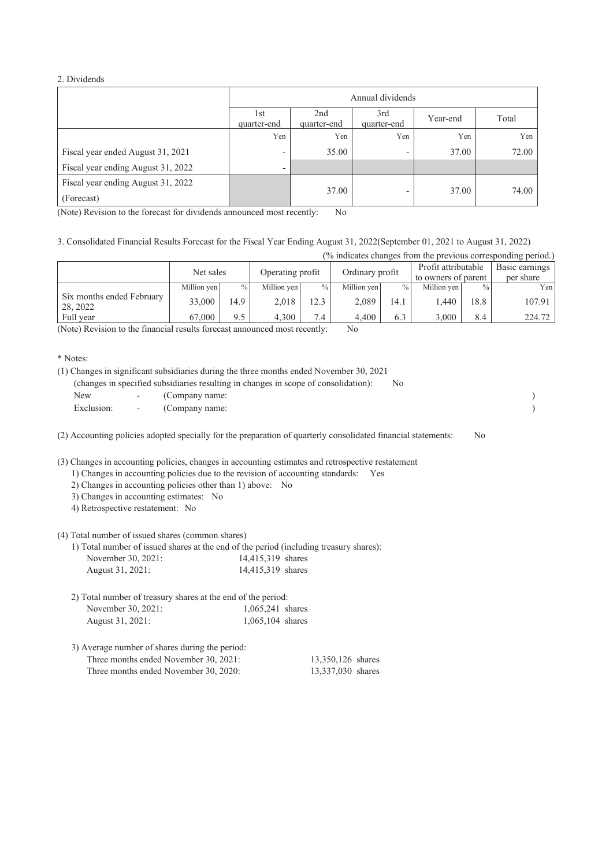#### 2. Dividends

|                                                  | Annual dividends                                                           |       |                          |       |       |  |
|--------------------------------------------------|----------------------------------------------------------------------------|-------|--------------------------|-------|-------|--|
|                                                  | 2nd<br>3rd<br>1st<br>Year-end<br>quarter-end<br>quarter-end<br>quarter-end |       |                          |       | Total |  |
|                                                  | Yen                                                                        | Yen   | Yen                      | Yen   | Yen   |  |
| Fiscal year ended August 31, 2021                | $\overline{\phantom{0}}$                                                   | 35.00 | $\overline{\phantom{a}}$ | 37.00 | 72.00 |  |
| Fiscal year ending August 31, 2022               | ٠                                                                          |       |                          |       |       |  |
| Fiscal year ending August 31, 2022<br>(Forecast) |                                                                            | 37.00 | $\overline{\phantom{0}}$ | 37.00 | 74.00 |  |

(Note) Revision to the forecast for dividends announced most recently: No

3. Consolidated Financial Results Forecast for the Fiscal Year Ending August 31, 2022(September 01, 2021 to August 31, 2022)

| (% indicates changes from the previous corresponding period.) |  |  |  |  |  |
|---------------------------------------------------------------|--|--|--|--|--|
|                                                               |  |  |  |  |  |

|                                       | Net sales   |      | Operating profit |      | Ordinary profit |               | Profit attributable<br>to owners of parent |               | Basic earnings<br>per share |
|---------------------------------------|-------------|------|------------------|------|-----------------|---------------|--------------------------------------------|---------------|-----------------------------|
|                                       | Million yen | $\%$ | Million ven      | $\%$ | Million yen     | $\frac{0}{0}$ | Million ven                                | $\frac{0}{0}$ | Yenl                        |
| Six months ended February<br>28, 2022 | 33,000      | 14.9 | 2.018            |      | 2.089           | 14.1          | 1.440                                      | 18.8          | 107.91                      |
| Full year                             | 67,000      | 9.5  | 4.300            | 7.4  | 4.400           | 6.3           | 3,000                                      | 8.4           | 224.72                      |

(Note) Revision to the financial results forecast announced most recently: No

\* Notes:

|  | (1) Changes in significant subsidiaries during the three months ended November 30, 2021 |      |  |
|--|-----------------------------------------------------------------------------------------|------|--|
|  | (changes in specified subsidiaries resulting in changes in scope of consolidation):     | - No |  |
|  | New - (Company name:                                                                    |      |  |
|  | Exclusion: - (Company name:                                                             |      |  |

(2) Accounting policies adopted specially for the preparation of quarterly consolidated financial statements: No

(3) Changes in accounting policies, changes in accounting estimates and retrospective restatement

1) Changes in accounting policies due to the revision of accounting standards: Yes

- 2) Changes in accounting policies other than 1) above: No
- 3) Changes in accounting estimates: No

4) Retrospective restatement: No

(4) Total number of issued shares (common shares)

1) Total number of issued shares at the end of the period (including treasury shares): November 30, 2021:

| August 31, 2021: | 14,415,319 shares |  |
|------------------|-------------------|--|
|                  |                   |  |

| 2) Total number of treasury shares at the end of the period: |                     |  |  |  |
|--------------------------------------------------------------|---------------------|--|--|--|
| November 30, 2021:                                           | $1.065,241$ shares  |  |  |  |
| August 31, 2021:                                             | $1.065, 104$ shares |  |  |  |

| 3) Average number of shares during the period: |                   |
|------------------------------------------------|-------------------|
| Three months ended November 30, 2021:          | 13,350,126 shares |
| Three months ended November 30, 2020:          | 13,337,030 shares |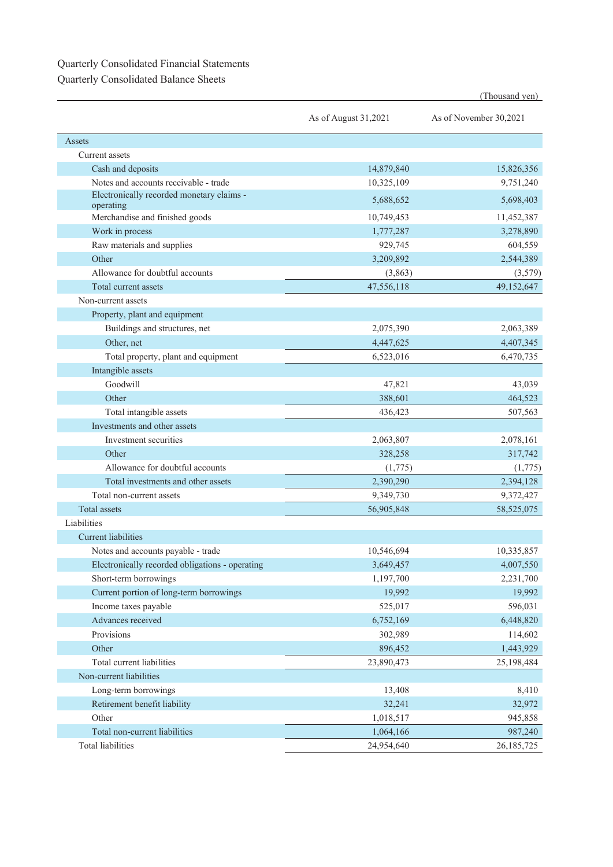## Quarterly Consolidated Financial Statements

Quarterly Consolidated Balance Sheets

|                                                        |                      | (Thousand yen)         |
|--------------------------------------------------------|----------------------|------------------------|
|                                                        | As of August 31,2021 | As of November 30,2021 |
| Assets                                                 |                      |                        |
| Current assets                                         |                      |                        |
| Cash and deposits                                      | 14,879,840           | 15,826,356             |
| Notes and accounts receivable - trade                  | 10,325,109           | 9,751,240              |
| Electronically recorded monetary claims -<br>operating | 5,688,652            | 5,698,403              |
| Merchandise and finished goods                         | 10,749,453           | 11,452,387             |
| Work in process                                        | 1,777,287            | 3,278,890              |
| Raw materials and supplies                             | 929,745              | 604,559                |
| Other                                                  | 3,209,892            | 2,544,389              |
| Allowance for doubtful accounts                        | (3,863)              | (3,579)                |
| Total current assets                                   | 47,556,118           | 49,152,647             |
| Non-current assets                                     |                      |                        |
| Property, plant and equipment                          |                      |                        |
| Buildings and structures, net                          | 2,075,390            | 2,063,389              |
| Other, net                                             | 4,447,625            | 4,407,345              |
| Total property, plant and equipment                    | 6,523,016            | 6,470,735              |
| Intangible assets                                      |                      |                        |
| Goodwill                                               | 47,821               | 43,039                 |
| Other                                                  | 388,601              | 464,523                |
| Total intangible assets                                | 436,423              | 507,563                |
| Investments and other assets                           |                      |                        |
| Investment securities                                  | 2,063,807            | 2,078,161              |
| Other                                                  | 328,258              | 317,742                |
| Allowance for doubtful accounts                        | (1,775)              | (1,775)                |
| Total investments and other assets                     | 2,390,290            | 2,394,128              |
| Total non-current assets                               | 9,349,730            | 9,372,427              |
| <b>Total assets</b>                                    | 56,905,848           | 58,525,075             |
| Liabilities                                            |                      |                        |
| <b>Current liabilities</b>                             |                      |                        |
| Notes and accounts payable - trade                     | 10,546,694           | 10,335,857             |
| Electronically recorded obligations - operating        | 3,649,457            | 4,007,550              |
| Short-term borrowings                                  | 1,197,700            | 2,231,700              |
| Current portion of long-term borrowings                | 19,992               | 19,992                 |
| Income taxes payable                                   | 525,017              | 596,031                |
| Advances received                                      | 6,752,169            | 6,448,820              |
| Provisions                                             | 302,989              | 114,602                |
| Other                                                  | 896,452              | 1,443,929              |
| Total current liabilities                              | 23,890,473           | 25,198,484             |
| Non-current liabilities                                |                      |                        |
| Long-term borrowings                                   | 13,408               | 8,410                  |
| Retirement benefit liability                           | 32,241               | 32,972                 |
| Other                                                  | 1,018,517            | 945,858                |
| Total non-current liabilities                          | 1,064,166            | 987,240                |
| <b>Total liabilities</b>                               | 24,954,640           | 26, 185, 725           |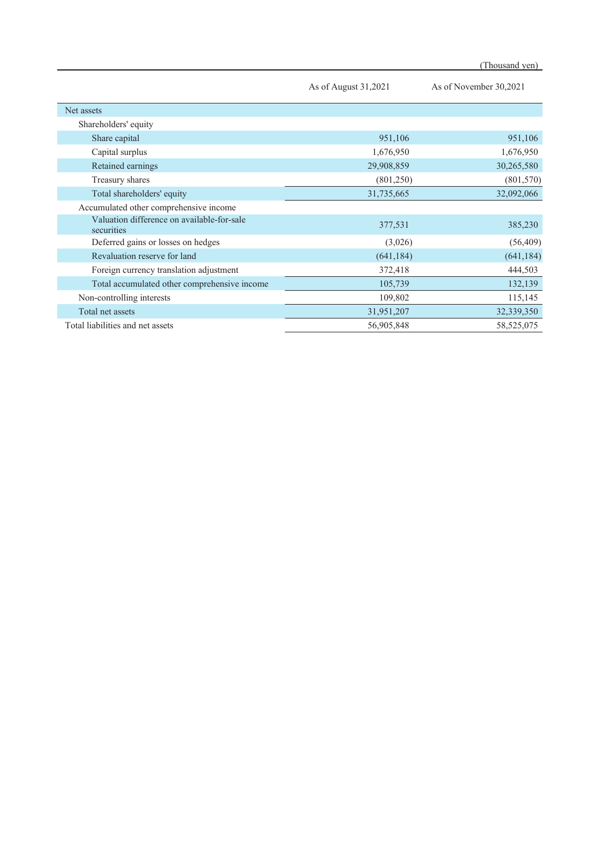|                                                          | As of August 31,2021 | As of November 30,2021 |
|----------------------------------------------------------|----------------------|------------------------|
| Net assets                                               |                      |                        |
| Shareholders' equity                                     |                      |                        |
| Share capital                                            | 951,106              | 951,106                |
| Capital surplus                                          | 1,676,950            | 1,676,950              |
| Retained earnings                                        | 29,908,859           | 30,265,580             |
| Treasury shares                                          | (801,250)            | (801, 570)             |
| Total shareholders' equity                               | 31,735,665           | 32,092,066             |
| Accumulated other comprehensive income                   |                      |                        |
| Valuation difference on available-for-sale<br>securities | 377,531              | 385,230                |
| Deferred gains or losses on hedges                       | (3,026)              | (56, 409)              |
| Revaluation reserve for land                             | (641, 184)           | (641, 184)             |
| Foreign currency translation adjustment                  | 372,418              | 444,503                |
| Total accumulated other comprehensive income             | 105,739              | 132,139                |
| Non-controlling interests                                | 109,802              | 115,145                |
| Total net assets                                         | 31,951,207           | 32,339,350             |
| Total liabilities and net assets                         | 56,905,848           | 58, 525, 075           |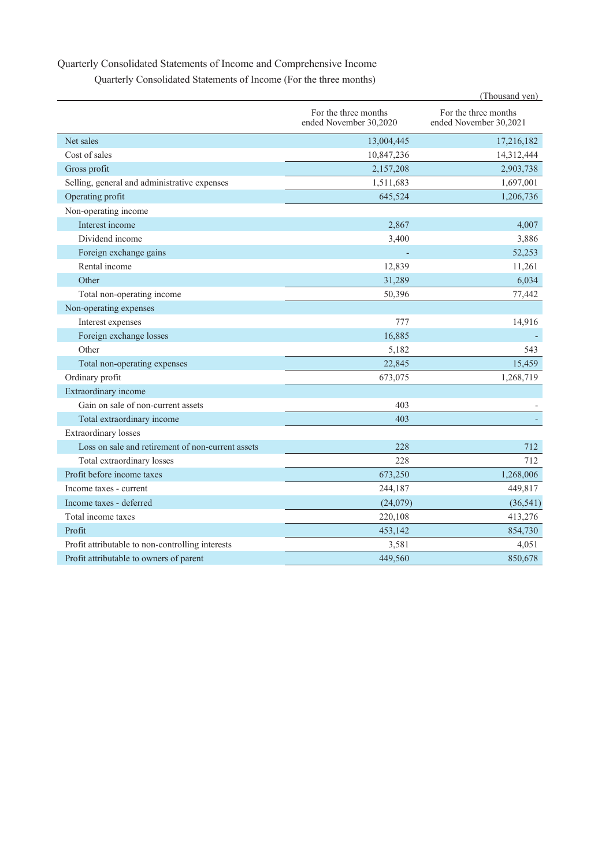### Quarterly Consolidated Statements of Income and Comprehensive Income

| Quarterly Consolidated Statements of Income (For the three months) |  |  |
|--------------------------------------------------------------------|--|--|
|--------------------------------------------------------------------|--|--|

|                                                   |                                                | (Thousand yen)                                 |
|---------------------------------------------------|------------------------------------------------|------------------------------------------------|
|                                                   | For the three months<br>ended November 30,2020 | For the three months<br>ended November 30,2021 |
| Net sales                                         | 13,004,445                                     | 17,216,182                                     |
| Cost of sales                                     | 10,847,236                                     | 14,312,444                                     |
| Gross profit                                      | 2,157,208                                      | 2,903,738                                      |
| Selling, general and administrative expenses      | 1,511,683                                      | 1,697,001                                      |
| Operating profit                                  | 645,524                                        | 1,206,736                                      |
| Non-operating income                              |                                                |                                                |
| Interest income                                   | 2,867                                          | 4,007                                          |
| Dividend income                                   | 3,400                                          | 3,886                                          |
| Foreign exchange gains                            |                                                | 52,253                                         |
| Rental income                                     | 12,839                                         | 11,261                                         |
| Other                                             | 31,289                                         | 6,034                                          |
| Total non-operating income                        | 50,396                                         | 77,442                                         |
| Non-operating expenses                            |                                                |                                                |
| Interest expenses                                 | 777                                            | 14,916                                         |
| Foreign exchange losses                           | 16,885                                         |                                                |
| Other                                             | 5,182                                          | 543                                            |
| Total non-operating expenses                      | 22,845                                         | 15,459                                         |
| Ordinary profit                                   | 673,075                                        | 1,268,719                                      |
| Extraordinary income                              |                                                |                                                |
| Gain on sale of non-current assets                | 403                                            |                                                |
| Total extraordinary income                        | 403                                            |                                                |
| Extraordinary losses                              |                                                |                                                |
| Loss on sale and retirement of non-current assets | 228                                            | 712                                            |
| Total extraordinary losses                        | 228                                            | 712                                            |
| Profit before income taxes                        | 673,250                                        | 1,268,006                                      |
| Income taxes - current                            | 244,187                                        | 449,817                                        |
| Income taxes - deferred                           | (24,079)                                       | (36, 541)                                      |
| Total income taxes                                | 220,108                                        | 413,276                                        |
| Profit                                            | 453,142                                        | 854,730                                        |
| Profit attributable to non-controlling interests  | 3,581                                          | 4,051                                          |
| Profit attributable to owners of parent           | 449,560                                        | 850,678                                        |